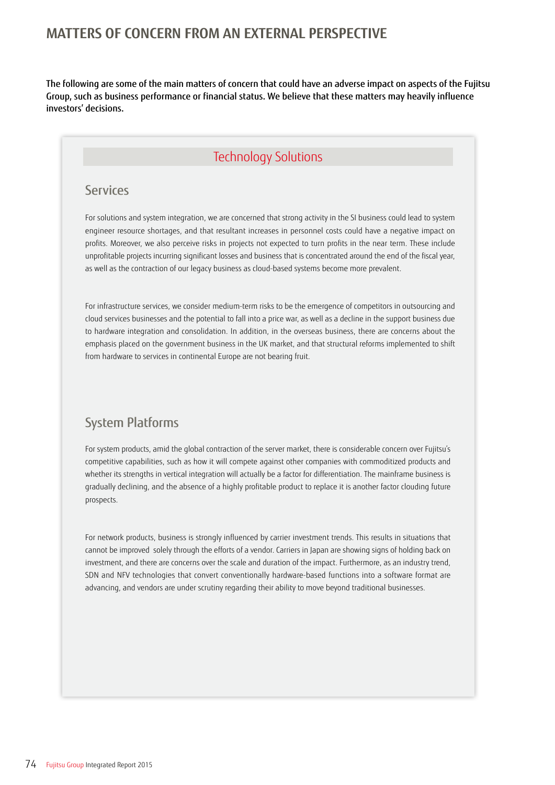# **MATTERS OF CONCERN FROM AN EXTERNAL PERSPECTIVE**

The following are some of the main matters of concern that could have an adverse impact on aspects of the Fujitsu Group, such as business performance or financial status. We believe that these matters may heavily influence investors' decisions.

# Technology Solutions

#### Services

For solutions and system integration, we are concerned that strong activity in the SI business could lead to system engineer resource shortages, and that resultant increases in personnel costs could have a negative impact on profits. Moreover, we also perceive risks in projects not expected to turn profits in the near term. These include unprofitable projects incurring significant losses and business that is concentrated around the end of the fiscal year, as well as the contraction of our legacy business as cloud-based systems become more prevalent.

For infrastructure services, we consider medium-term risks to be the emergence of competitors in outsourcing and cloud services businesses and the potential to fall into a price war, as well as a decline in the support business due to hardware integration and consolidation. In addition, in the overseas business, there are concerns about the emphasis placed on the government business in the UK market, and that structural reforms implemented to shift from hardware to services in continental Europe are not bearing fruit.

# System Platforms

For system products, amid the global contraction of the server market, there is considerable concern over Fujitsu's competitive capabilities, such as how it will compete against other companies with commoditized products and whether its strengths in vertical integration will actually be a factor for differentiation. The mainframe business is gradually declining, and the absence of a highly profitable product to replace it is another factor clouding future prospects.

For network products, business is strongly influenced by carrier investment trends. This results in situations that cannot be improved solely through the efforts of a vendor. Carriers in Japan are showing signs of holding back on investment, and there are concerns over the scale and duration of the impact. Furthermore, as an industry trend, SDN and NFV technologies that convert conventionally hardware-based functions into a software format are advancing, and vendors are under scrutiny regarding their ability to move beyond traditional businesses.